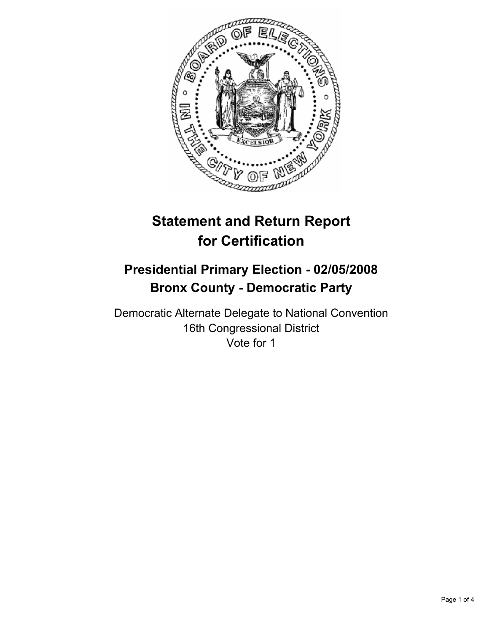

# **Statement and Return Report for Certification**

## **Presidential Primary Election - 02/05/2008 Bronx County - Democratic Party**

Democratic Alternate Delegate to National Convention 16th Congressional District Vote for 1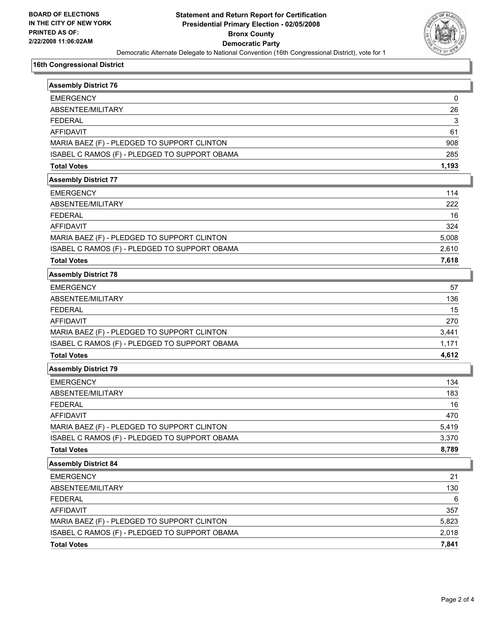

#### **16th Congressional District**

| <b>Assembly District 76</b>                   |       |
|-----------------------------------------------|-------|
| <b>EMERGENCY</b>                              | 0     |
| ABSENTEE/MILITARY                             | 26    |
| <b>FEDERAL</b>                                | 3     |
| <b>AFFIDAVIT</b>                              | 61    |
| MARIA BAEZ (F) - PLEDGED TO SUPPORT CLINTON   | 908   |
| ISABEL C RAMOS (F) - PLEDGED TO SUPPORT OBAMA | 285   |
| <b>Total Votes</b>                            | 1,193 |
| <b>Assembly District 77</b>                   |       |
| <b>EMERGENCY</b>                              | 114   |
| ABSENTEE/MILITARY                             | 222   |
| <b>FEDERAL</b>                                | 16    |
| <b>AFFIDAVIT</b>                              | 324   |
| MARIA BAEZ (F) - PLEDGED TO SUPPORT CLINTON   | 5,008 |
| ISABEL C RAMOS (F) - PLEDGED TO SUPPORT OBAMA | 2,610 |
| <b>Total Votes</b>                            | 7,618 |
| <b>Assembly District 78</b>                   |       |
| <b>EMERGENCY</b>                              | 57    |
| ABSENTEE/MILITARY                             | 136   |
| <b>FEDERAL</b>                                | 15    |
| <b>AFFIDAVIT</b>                              | 270   |
| MARIA BAEZ (F) - PLEDGED TO SUPPORT CLINTON   | 3,441 |
| ISABEL C RAMOS (F) - PLEDGED TO SUPPORT OBAMA | 1,171 |
| <b>Total Votes</b>                            | 4,612 |
| <b>Assembly District 79</b>                   |       |
| <b>EMERGENCY</b>                              | 134   |
| ABSENTEE/MILITARY                             | 183   |
| <b>FEDERAL</b>                                | 16    |
| <b>AFFIDAVIT</b>                              | 470   |
| MARIA BAEZ (F) - PLEDGED TO SUPPORT CLINTON   | 5,419 |
| ISABEL C RAMOS (F) - PLEDGED TO SUPPORT OBAMA | 3,370 |
| <b>Total Votes</b>                            | 8,789 |
| <b>Assembly District 84</b>                   |       |
| <b>EMERGENCY</b>                              | 21    |
| ABSENTEE/MILITARY                             | 130   |
| <b>FEDERAL</b>                                | 6     |
| AFFIDAVIT                                     | 357   |
| MARIA BAEZ (F) - PLEDGED TO SUPPORT CLINTON   | 5,823 |
| ISABEL C RAMOS (F) - PLEDGED TO SUPPORT OBAMA | 2,018 |
| <b>Total Votes</b>                            | 7,841 |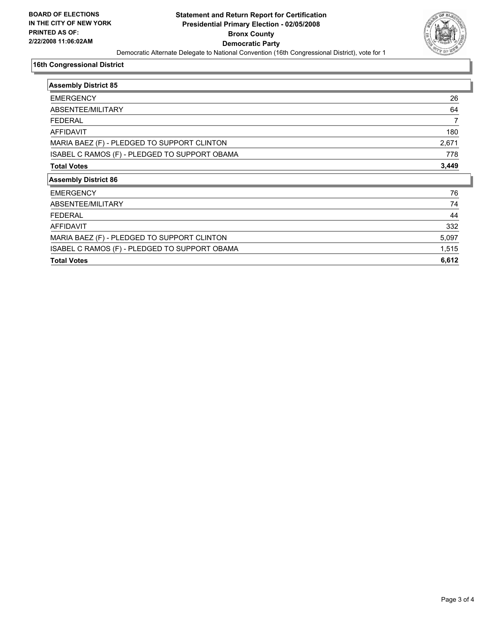

#### **16th Congressional District**

| <b>Assembly District 85</b>                   |       |
|-----------------------------------------------|-------|
| <b>EMERGENCY</b>                              | 26    |
| ABSENTEE/MILITARY                             | 64    |
| <b>FEDERAL</b>                                |       |
| <b>AFFIDAVIT</b>                              | 180   |
| MARIA BAEZ (F) - PLEDGED TO SUPPORT CLINTON   | 2,671 |
| ISABEL C RAMOS (F) - PLEDGED TO SUPPORT OBAMA | 778   |
| <b>Total Votes</b>                            | 3,449 |
| <b>Assembly District 86</b>                   |       |
| <b>EMERGENCY</b>                              | 76    |
| ABSENTEE/MILITARY                             | 74    |
| <b>FEDERAL</b>                                | 44    |
| <b>AFFIDAVIT</b>                              | 332   |
| MARIA BAEZ (F) - PLEDGED TO SUPPORT CLINTON   | 5,097 |
| ISABEL C RAMOS (F) - PLEDGED TO SUPPORT OBAMA | 1,515 |
| <b>Total Votes</b>                            | 6,612 |